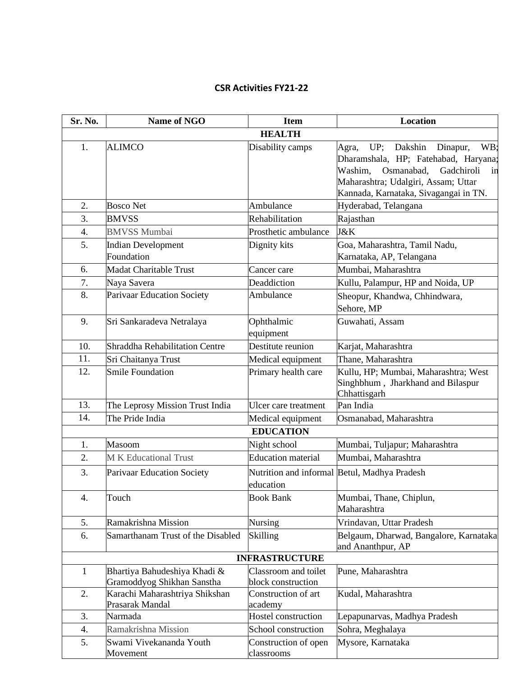## **CSR Activities FY21-22**

| Sr. No.               | Name of NGO                                                | <b>Item</b>                                | <b>Location</b>                                                                                                                                                                                              |  |  |
|-----------------------|------------------------------------------------------------|--------------------------------------------|--------------------------------------------------------------------------------------------------------------------------------------------------------------------------------------------------------------|--|--|
|                       | <b>HEALTH</b>                                              |                                            |                                                                                                                                                                                                              |  |  |
| 1.                    | <b>ALIMCO</b>                                              | Disability camps                           | UP; Dakshin<br>WB:<br>Dinapur,<br>Agra,<br>Dharamshala, HP; Fatehabad, Haryana;<br>Osmanabad,<br>Gadchiroli<br>Washim.<br>in<br>Maharashtra; Udalgiri, Assam; Uttar<br>Kannada, Karnataka, Sivagangai in TN. |  |  |
| 2.                    | <b>Bosco Net</b>                                           | Ambulance                                  | Hyderabad, Telangana                                                                                                                                                                                         |  |  |
| 3.                    | <b>BMVSS</b>                                               | Rehabilitation                             | Rajasthan                                                                                                                                                                                                    |  |  |
| $\overline{4}$ .      | <b>BMVSS Mumbai</b>                                        | Prosthetic ambulance                       | J&K                                                                                                                                                                                                          |  |  |
| 5.                    | <b>Indian Development</b><br>Foundation                    | Dignity kits                               | Goa, Maharashtra, Tamil Nadu,<br>Karnataka, AP, Telangana                                                                                                                                                    |  |  |
| 6.                    | Madat Charitable Trust                                     | Cancer care                                | Mumbai, Maharashtra                                                                                                                                                                                          |  |  |
| 7.                    | Naya Savera                                                | Deaddiction                                | Kullu, Palampur, HP and Noida, UP                                                                                                                                                                            |  |  |
| 8.                    | Parivaar Education Society                                 | Ambulance                                  | Sheopur, Khandwa, Chhindwara,<br>Sehore, MP                                                                                                                                                                  |  |  |
| 9.                    | Sri Sankaradeva Netralaya                                  | Ophthalmic<br>equipment                    | Guwahati, Assam                                                                                                                                                                                              |  |  |
| 10.                   | Shraddha Rehabilitation Centre                             | Destitute reunion                          | Karjat, Maharashtra                                                                                                                                                                                          |  |  |
| 11.                   | Sri Chaitanya Trust                                        | Medical equipment                          | Thane, Maharashtra                                                                                                                                                                                           |  |  |
| 12.                   | Smile Foundation                                           | Primary health care                        | Kullu, HP; Mumbai, Maharashtra; West<br>Singhbhum, Jharkhand and Bilaspur<br>Chhattisgarh                                                                                                                    |  |  |
| 13.                   | The Leprosy Mission Trust India                            | Ulcer care treatment                       | Pan India                                                                                                                                                                                                    |  |  |
| 14.                   | The Pride India                                            | Medical equipment                          | Osmanabad, Maharashtra                                                                                                                                                                                       |  |  |
|                       |                                                            | <b>EDUCATION</b>                           |                                                                                                                                                                                                              |  |  |
| 1.                    | Masoom                                                     | Night school                               | Mumbai, Tuljapur; Maharashtra                                                                                                                                                                                |  |  |
| 2.                    | <b>MK</b> Educational Trust                                | <b>Education</b> material                  | Mumbai, Maharashtra                                                                                                                                                                                          |  |  |
| 3.                    | <b>Parivaar Education Society</b>                          | education                                  | Nutrition and informal Betul, Madhya Pradesh                                                                                                                                                                 |  |  |
| 4.                    | Touch                                                      | <b>Book Bank</b>                           | Mumbai, Thane, Chiplun,<br>Maharashtra                                                                                                                                                                       |  |  |
| 5.                    | Ramakrishna Mission                                        | <b>Nursing</b>                             | Vrindavan, Uttar Pradesh                                                                                                                                                                                     |  |  |
| 6.                    | Samarthanam Trust of the Disabled                          | Skilling                                   | Belgaum, Dharwad, Bangalore, Karnataka<br>and Ananthpur, AP                                                                                                                                                  |  |  |
| <b>INFRASTRUCTURE</b> |                                                            |                                            |                                                                                                                                                                                                              |  |  |
| $\mathbf{1}$          | Bhartiya Bahudeshiya Khadi &<br>Gramoddyog Shikhan Sanstha | Classroom and toilet<br>block construction | Pune, Maharashtra                                                                                                                                                                                            |  |  |
| 2.                    | Karachi Maharashtriya Shikshan<br>Prasarak Mandal          | Construction of art<br>academy             | Kudal, Maharashtra                                                                                                                                                                                           |  |  |
| 3.                    | Narmada                                                    | Hostel construction                        | Lepapunarvas, Madhya Pradesh                                                                                                                                                                                 |  |  |
| 4.                    | Ramakrishna Mission                                        | School construction                        | Sohra, Meghalaya                                                                                                                                                                                             |  |  |
| 5.                    | Swami Vivekananda Youth<br>Movement                        | Construction of open<br>classrooms         | Mysore, Karnataka                                                                                                                                                                                            |  |  |